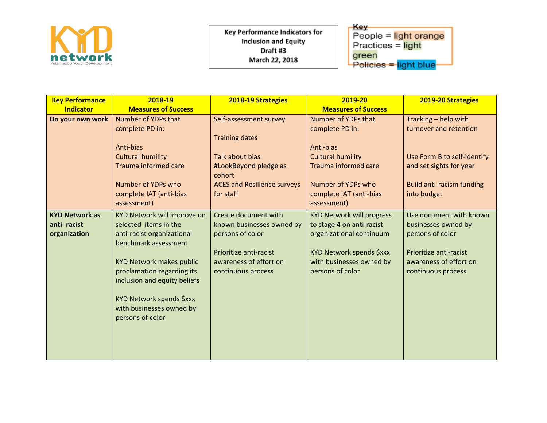

**Key Performance Indicators for Inclusion and Equity** Draft #3 March 22, 2018

Key-People = light orange Practices = light <mark>green</mark><br>Policies <del>= <mark>light blue</mark>-</del>

| <b>Key Performance</b> | 2018-19                         | 2018-19 Strategies                 | 2019-20                                              | 2019-20 Strategies               |
|------------------------|---------------------------------|------------------------------------|------------------------------------------------------|----------------------------------|
| <b>Indicator</b>       | <b>Measures of Success</b>      |                                    | <b>Measures of Success</b>                           |                                  |
| Do your own work       | Number of YDPs that             | Self-assessment survey             | Number of YDPs that                                  | Tracking - help with             |
|                        | complete PD in:                 |                                    | complete PD in:                                      | turnover and retention           |
|                        |                                 | <b>Training dates</b>              |                                                      |                                  |
|                        | Anti-bias                       |                                    | Anti-bias                                            |                                  |
|                        | <b>Cultural humility</b>        | <b>Talk about bias</b>             | <b>Cultural humility</b>                             | Use Form B to self-identify      |
|                        | Trauma informed care            | #LookBeyond pledge as<br>cohort    | <b>Trauma informed care</b>                          | and set sights for year          |
|                        | Number of YDPs who              | <b>ACES and Resilience surveys</b> | Number of YDPs who                                   | <b>Build anti-racism funding</b> |
|                        | complete IAT (anti-bias         | for staff                          | complete IAT (anti-bias                              | into budget                      |
|                        | assessment)                     |                                    | assessment)                                          |                                  |
| <b>KYD Network as</b>  | KYD Network will improve on     | Create document with               | <b>KYD Network will progress</b>                     | Use document with known          |
| anti-racist            | selected items in the           | known businesses owned by          | to stage 4 on anti-racist                            | businesses owned by              |
| organization           | anti-racist organizational      | persons of color                   | organizational continuum                             | persons of color                 |
|                        | benchmark assessment            | Prioritize anti-racist             |                                                      | Prioritize anti-racist           |
|                        | <b>KYD Network makes public</b> | awareness of effort on             | KYD Network spends \$xxx<br>with businesses owned by | awareness of effort on           |
|                        | proclamation regarding its      | continuous process                 | persons of color                                     | continuous process               |
|                        | inclusion and equity beliefs    |                                    |                                                      |                                  |
|                        |                                 |                                    |                                                      |                                  |
|                        | KYD Network spends \$xxx        |                                    |                                                      |                                  |
|                        | with businesses owned by        |                                    |                                                      |                                  |
|                        | persons of color                |                                    |                                                      |                                  |
|                        |                                 |                                    |                                                      |                                  |
|                        |                                 |                                    |                                                      |                                  |
|                        |                                 |                                    |                                                      |                                  |
|                        |                                 |                                    |                                                      |                                  |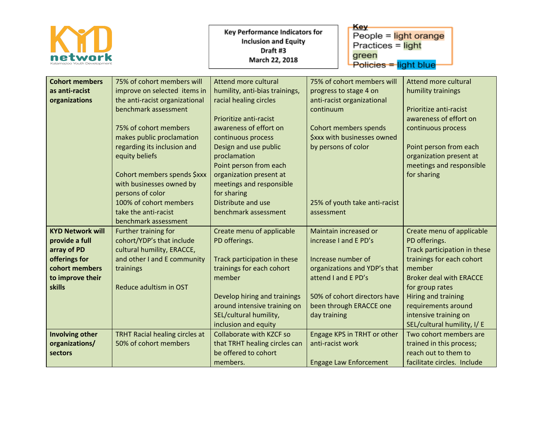|                                                                                                                                  |                                                                                                                                                                                                                                                                                        | <b>Key Performance Indicators for</b><br><b>Inclusion and Equity</b><br>Draft #3<br>March 22, 2018                                                                                                                                                                                   | Key<br>People $=$ light orange<br>Practices = light<br>green<br>Policies = light blue                                                                                                                  |                                                                                                                                                                                                                                                                              |
|----------------------------------------------------------------------------------------------------------------------------------|----------------------------------------------------------------------------------------------------------------------------------------------------------------------------------------------------------------------------------------------------------------------------------------|--------------------------------------------------------------------------------------------------------------------------------------------------------------------------------------------------------------------------------------------------------------------------------------|--------------------------------------------------------------------------------------------------------------------------------------------------------------------------------------------------------|------------------------------------------------------------------------------------------------------------------------------------------------------------------------------------------------------------------------------------------------------------------------------|
| <b>Cohort members</b><br>as anti-racist<br>organizations                                                                         | 75% of cohort members will<br>improve on selected items in<br>the anti-racist organizational<br>benchmark assessment<br>75% of cohort members<br>makes public proclamation<br>regarding its inclusion and<br>equity beliefs<br>Cohort members spends \$xxx<br>with businesses owned by | Attend more cultural<br>humility, anti-bias trainings,<br>racial healing circles<br>Prioritize anti-racist<br>awareness of effort on<br>continuous process<br>Design and use public<br>proclamation<br>Point person from each<br>organization present at<br>meetings and responsible | 75% of cohort members will<br>progress to stage 4 on<br>anti-racist organizational<br>continuum<br>Cohort members spends<br><b>Sxxx with businesses owned</b><br>by persons of color                   | <b>Attend more cultural</b><br>humility trainings<br>Prioritize anti-racist<br>awareness of effort on<br>continuous process<br>Point person from each<br>organization present at<br>meetings and responsible<br>for sharing                                                  |
|                                                                                                                                  | persons of color<br>100% of cohort members<br>take the anti-racist<br>benchmark assessment                                                                                                                                                                                             | for sharing<br>Distribute and use<br>benchmark assessment                                                                                                                                                                                                                            | 25% of youth take anti-racist<br>assessment                                                                                                                                                            |                                                                                                                                                                                                                                                                              |
| <b>KYD Network will</b><br>provide a full<br>array of PD<br>offerings for<br>cohort members<br>to improve their<br><b>skills</b> | Further training for<br>cohort/YDP's that include<br>cultural humility, ERACCE,<br>and other I and E community<br>trainings<br>Reduce adultism in OST                                                                                                                                  | Create menu of applicable<br>PD offerings.<br>Track participation in these<br>trainings for each cohort<br>member<br>Develop hiring and trainings<br>around intensive training on<br>SEL/cultural humility,<br>inclusion and equity                                                  | Maintain increased or<br>increase I and E PD's<br>Increase number of<br>organizations and YDP's that<br>attend I and E PD's<br>50% of cohort directors have<br>been through ERACCE one<br>day training | Create menu of applicable<br>PD offerings.<br>Track participation in these<br>trainings for each cohort<br>member<br><b>Broker deal with ERACCE</b><br>for group rates<br>Hiring and training<br>requirements around<br>intensive training on<br>SEL/cultural humility, I/ E |
| <b>Involving other</b><br>organizations/<br>sectors                                                                              | TRHT Racial healing circles at<br>50% of cohort members                                                                                                                                                                                                                                | Collaborate with KZCF so<br>that TRHT healing circles can<br>be offered to cohort<br>members.                                                                                                                                                                                        | Engage KPS in TRHT or other<br>anti-racist work<br><b>Engage Law Enforcement</b>                                                                                                                       | Two cohort members are<br>trained in this process;<br>reach out to them to<br>facilitate circles. Include                                                                                                                                                                    |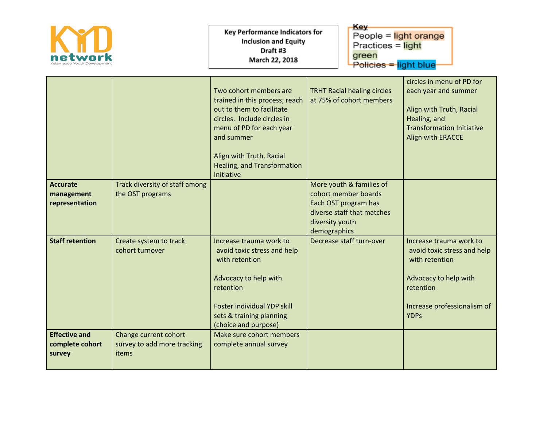|                                                   |                                                               | <b>Key Performance Indicators for</b><br><b>Inclusion and Equity</b><br>Draft #3<br>March 22, 2018                                                                                                                                             | Key<br>green                                                                                                                              | People = light orange<br>Practices = light<br>Policies = light blue                                                                                          |  |
|---------------------------------------------------|---------------------------------------------------------------|------------------------------------------------------------------------------------------------------------------------------------------------------------------------------------------------------------------------------------------------|-------------------------------------------------------------------------------------------------------------------------------------------|--------------------------------------------------------------------------------------------------------------------------------------------------------------|--|
|                                                   |                                                               | Two cohort members are<br>trained in this process; reach<br>out to them to facilitate<br>circles. Include circles in<br>menu of PD for each year<br>and summer<br>Align with Truth, Racial<br><b>Healing, and Transformation</b><br>Initiative | <b>TRHT Racial healing circles</b><br>at 75% of cohort members                                                                            | circles in menu of PD for<br>each year and summer<br>Align with Truth, Racial<br>Healing, and<br><b>Transformation Initiative</b><br>Align with ERACCE       |  |
| <b>Accurate</b><br>management<br>representation   | Track diversity of staff among<br>the OST programs            |                                                                                                                                                                                                                                                | More youth & families of<br>cohort member boards<br>Each OST program has<br>diverse staff that matches<br>diversity youth<br>demographics |                                                                                                                                                              |  |
| <b>Staff retention</b>                            | Create system to track<br>cohort turnover                     | Increase trauma work to<br>avoid toxic stress and help<br>with retention<br>Advocacy to help with<br>retention<br>Foster individual YDP skill<br>sets & training planning<br>(choice and purpose)                                              | Decrease staff turn-over                                                                                                                  | Increase trauma work to<br>avoid toxic stress and help<br>with retention<br>Advocacy to help with<br>retention<br>Increase professionalism of<br><b>YDPs</b> |  |
| <b>Effective and</b><br>complete cohort<br>survey | Change current cohort<br>survey to add more tracking<br>items | Make sure cohort members<br>complete annual survey                                                                                                                                                                                             |                                                                                                                                           |                                                                                                                                                              |  |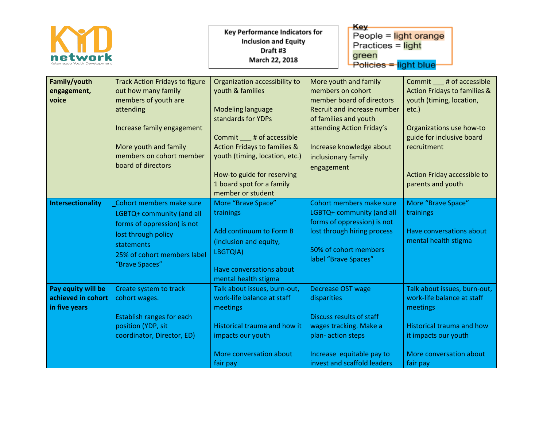|                                                           |                                                                                                                                                                                                            | <b>Key Performance Indicators for</b><br><b>Inclusion and Equity</b><br>Draft #3<br>March 22, 2018                                                                                                                                                                                              | Key<br>People $=$ light orange<br>Practices = light<br>green<br>Policies = light blue                                                                                                                                         |                                                                                                                                                                                                                                       |
|-----------------------------------------------------------|------------------------------------------------------------------------------------------------------------------------------------------------------------------------------------------------------------|-------------------------------------------------------------------------------------------------------------------------------------------------------------------------------------------------------------------------------------------------------------------------------------------------|-------------------------------------------------------------------------------------------------------------------------------------------------------------------------------------------------------------------------------|---------------------------------------------------------------------------------------------------------------------------------------------------------------------------------------------------------------------------------------|
| Family/youth<br>engagement,<br>voice                      | <b>Track Action Fridays to figure</b><br>out how many family<br>members of youth are<br>attending<br>Increase family engagement<br>More youth and family<br>members on cohort member<br>board of directors | Organization accessibility to<br>youth & families<br><b>Modeling language</b><br>standards for YDPs<br>Commit ____ # of accessible<br><b>Action Fridays to families &amp;</b><br>youth (timing, location, etc.)<br>How-to guide for reserving<br>1 board spot for a family<br>member or student | More youth and family<br>members on cohort<br>member board of directors<br>Recruit and increase number<br>of families and youth<br>attending Action Friday's<br>Increase knowledge about<br>inclusionary family<br>engagement | Commit # of accessible<br><b>Action Fridays to families &amp;</b><br>youth (timing, location,<br>$etc.$ )<br>Organizations use how-to<br>guide for inclusive board<br>recruitment<br>Action Friday accessible to<br>parents and youth |
| <b>Intersectionality</b>                                  | Cohort members make sure<br>LGBTQ+ community (and all<br>forms of oppression) is not<br>lost through policy<br>statements<br>25% of cohort members label<br>"Brave Spaces"                                 | More "Brave Space"<br>trainings<br>Add continuum to Form B<br>(inclusion and equity,<br>LBGTQIA)<br>Have conversations about<br>mental health stigma                                                                                                                                            | Cohort members make sure<br>LGBTQ+ community (and all<br>forms of oppression) is not<br>lost through hiring process<br>50% of cohort members<br>label "Brave Spaces"                                                          | More "Brave Space"<br>trainings<br>Have conversations about<br>mental health stigma                                                                                                                                                   |
| Pay equity will be<br>achieved in cohort<br>in five years | Create system to track<br>cohort wages.<br><b>Establish ranges for each</b><br>position (YDP, sit<br>coordinator, Director, ED)                                                                            | Talk about issues, burn-out,<br>work-life balance at staff<br>meetings<br>Historical trauma and how it<br>impacts our youth<br>More conversation about<br>fair pay                                                                                                                              | <b>Decrease OST wage</b><br>disparities<br>Discuss results of staff<br>wages tracking. Make a<br>plan-action steps<br>Increase equitable pay to<br>invest and scaffold leaders                                                | Talk about issues, burn-out,<br>work-life balance at staff<br>meetings<br><b>Historical trauma and how</b><br>it impacts our youth<br>More conversation about<br>fair pay                                                             |